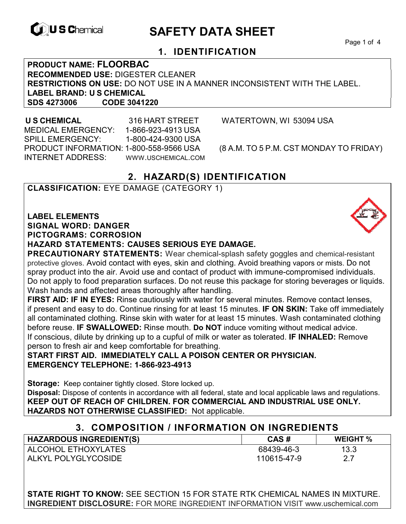

# **EXAGREM** SAFETY DATA SHEET

Page 1 of 4

## **1. IDENTIFICATION**

**PRODUCT NAME: FLOORBAC RECOMMENDED USE:** DIGESTER CLEANER **RESTRICTIONS ON USE:** DO NOT USE IN A MANNER INCONSISTENT WITH THE LABEL. **LABEL BRAND: U S CHEMICAL SDS 4273006** 

 **U S CHEMICAL** 316 HART STREET WATERTOWN, WI 53094 USA MEDICAL EMERGENCY: 1-866-923-4913 USA SPILL EMERGENCY: 1-800-424-9300 USA PRODUCT INFORMATION: 1-800-558-9566 USA (8 A.M. TO 5 P.M. CST MONDAY TO FRIDAY) INTERNET ADDRESS: WWW.USCHEMICAL.COM

## **2. HAZARD(S) IDENTIFICATION**

## **CLASSIFICATION:** EYE DAMAGE (CATEGORY 1)

**LABEL ELEMENTS SIGNAL WORD: DANGER PICTOGRAMS: CORROSION**

#### **HAZARD STATEMENTS: CAUSES SERIOUS EYE DAMAGE.**

**PRECAUTIONARY STATEMENTS:** Wear chemical-splash safety goggles and chemical-resistant protective gloves. Avoid contact with eyes, skin and clothing. Avoid breathing vapors or mists. Do not spray product into the air. Avoid use and contact of product with immune-compromised individuals. Do not apply to food preparation surfaces. Do not reuse this package for storing beverages or liquids. Wash hands and affected areas thoroughly after handling.

**FIRST AID: IF IN EYES:** Rinse cautiously with water for several minutes. Remove contact lenses, if present and easy to do. Continue rinsing for at least 15 minutes. **IF ON SKIN:** Take off immediately all contaminated clothing. Rinse skin with water for at least 15 minutes. Wash contaminated clothing before reuse. **IF SWALLOWED:** Rinse mouth. **Do NOT** induce vomiting without medical advice. If conscious, dilute by drinking up to a cupful of milk or water as tolerated. **IF INHALED:** Remove person to fresh air and keep comfortable for breathing.

**START FIRST AID. IMMEDIATELY CALL A POISON CENTER OR PHYSICIAN. EMERGENCY TELEPHONE: 1-866-923-4913**

**Storage:** Keep container tightly closed. Store locked up. **Disposal:** Dispose of contents in accordance with all federal, state and local applicable laws and regulations. **KEEP OUT OF REACH OF CHILDREN. FOR COMMERCIAL AND INDUSTRIAL USE ONLY. HAZARDS NOT OTHERWISE CLASSIFIED:** Not applicable.

## **3. COMPOSITION / INFORMATION ON INGREDIENTS**

| <b>HAZARDOUS INGREDIENT(S)</b> | CAS#        | <b>WEIGHT %</b> |
|--------------------------------|-------------|-----------------|
| ALCOHOL ETHOXYLATES            | 68439-46-3  | 13.3            |
| ALKYL POLYGLYCOSIDE            | 110615-47-9 | 2.7             |

**STATE RIGHT TO KNOW:** SEE SECTION 15 FOR STATE RTK CHEMICAL NAMES IN MIXTURE. **INGREDIENT DISCLOSURE:** FOR MORE INGREDIENT INFORMATION VISIT www.uschemical.com

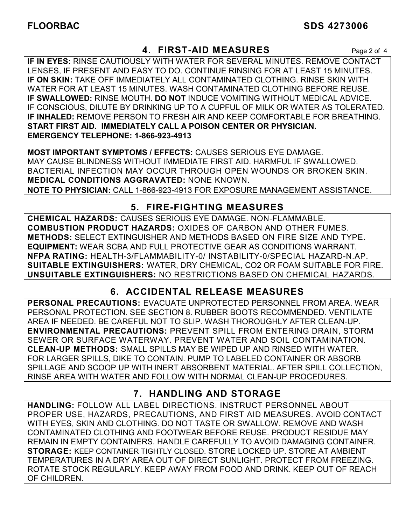## **4. FIRST-AID MEASURES** Page 2 of 4

**IF IN EYES:** RINSE CAUTIOUSLY WITH WATER FOR SEVERAL MINUTES. REMOVE CONTACT LENSES, IF PRESENT AND EASY TO DO. CONTINUE RINSING FOR AT LEAST 15 MINUTES. **IF ON SKIN:** TAKE OFF IMMEDIATELY ALL CONTAMINATED CLOTHING. RINSE SKIN WITH WATER FOR AT LEAST 15 MINUTES. WASH CONTAMINATED CLOTHING BEFORE REUSE. **IF SWALLOWED:** RINSE MOUTH. **DO NOT** INDUCE VOMITING WITHOUT MEDICAL ADVICE. IF CONSCIOUS, DILUTE BY DRINKING UP TO A CUPFUL OF MILK OR WATER AS TOLERATED. **IF INHALED:** REMOVE PERSON TO FRESH AIR AND KEEP COMFORTABLE FOR BREATHING. **START FIRST AID. IMMEDIATELY CALL A POISON CENTER OR PHYSICIAN. EMERGENCY TELEPHONE: 1-866-923-4913**

**MOST IMPORTANT SYMPTOMS / EFFECTS:** CAUSES SERIOUS EYE DAMAGE. MAY CAUSE BLINDNESS WITHOUT IMMEDIATE FIRST AID. HARMFUL IF SWALLOWED. BACTERIAL INFECTION MAY OCCUR THROUGH OPEN WOUNDS OR BROKEN SKIN. **MEDICAL CONDITIONS AGGRAVATED:** NONE KNOWN. **NOTE TO PHYSICIAN:** CALL 1-866-923-4913 FOR EXPOSURE MANAGEMENT ASSISTANCE.

## **5. FIRE-FIGHTING MEASURES**

**CHEMICAL HAZARDS:** CAUSES SERIOUS EYE DAMAGE. NON-FLAMMABLE. **COMBUSTION PRODUCT HAZARDS:** OXIDES OF CARBON AND OTHER FUMES. **METHODS:** SELECT EXTINGUISHER AND METHODS BASED ON FIRE SIZE AND TYPE. **EQUIPMENT:** WEAR SCBA AND FULL PROTECTIVE GEAR AS CONDITIONS WARRANT. **NFPA RATING:** HEALTH-3/FLAMMABILITY-0/ INSTABILITY-0/SPECIAL HAZARD-N.AP. **SUITABLE EXTINGUISHERS:** WATER, DRY CHEMICAL, CO2 OR FOAM SUITABLE FOR FIRE. **UNSUITABLE EXTINGUISHERS:** NO RESTRICTIONS BASED ON CHEMICAL HAZARDS.

## **6. ACCIDENTAL RELEASE MEASURES**

**PERSONAL PRECAUTIONS:** EVACUATE UNPROTECTED PERSONNEL FROM AREA. WEAR PERSONAL PROTECTION. SEE SECTION 8. RUBBER BOOTS RECOMMENDED. VENTILATE AREA IF NEEDED. BE CAREFUL NOT TO SLIP. WASH THOROUGHLY AFTER CLEAN-UP. **ENVIRONMENTAL PRECAUTIONS:** PREVENT SPILL FROM ENTERING DRAIN, STORM SEWER OR SURFACE WATERWAY. PREVENT WATER AND SOIL CONTAMINATION. **CLEAN-UP METHODS:** SMALL SPILLS MAY BE WIPED UP AND RINSED WITH WATER. FOR LARGER SPILLS, DIKE TO CONTAIN. PUMP TO LABELED CONTAINER OR ABSORB SPILLAGE AND SCOOP UP WITH INERT ABSORBENT MATERIAL. AFTER SPILL COLLECTION, RINSE AREA WITH WATER AND FOLLOW WITH NORMAL CLEAN-UP PROCEDURES.

## **7. HANDLING AND STORAGE**

**HANDLING:** FOLLOW ALL LABEL DIRECTIONS. INSTRUCT PERSONNEL ABOUT PROPER USE, HAZARDS, PRECAUTIONS, AND FIRST AID MEASURES. AVOID CONTACT WITH EYES, SKIN AND CLOTHING. DO NOT TASTE OR SWALLOW. REMOVE AND WASH CONTAMINATED CLOTHING AND FOOTWEAR BEFORE REUSE. PRODUCT RESIDUE MAY REMAIN IN EMPTY CONTAINERS. HANDLE CAREFULLY TO AVOID DAMAGING CONTAINER. **STORAGE:** KEEP CONTAINER TIGHTLY CLOSED. STORE LOCKED UP. STORE AT AMBIENT TEMPERATURES IN A DRY AREA OUT OF DIRECT SUNLIGHT. PROTECT FROM FREEZING. ROTATE STOCK REGULARLY. KEEP AWAY FROM FOOD AND DRINK. KEEP OUT OF REACH OF CHILDREN.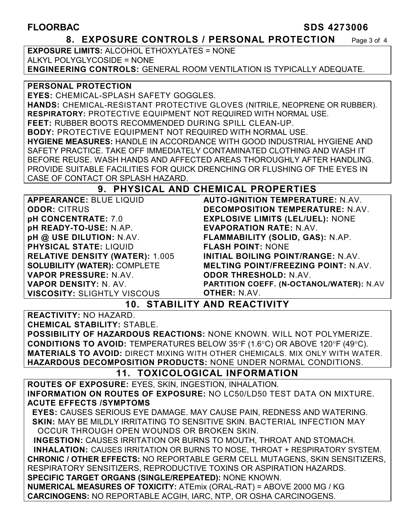#### **FLOORBAC SDS 4273006**

### **8. EXPOSURE CONTROLS / PERSONAL PROTECTION** Page 3 of 4

**EXPOSURE LIMITS:** ALCOHOL ETHOXYLATES = NONE ALKYL POLYGLYCOSIDE = NONE **ENGINEERING CONTROLS:** GENERAL ROOM VENTILATION IS TYPICALLY ADEQUATE.

#### **PERSONAL PROTECTION**

**EYES:** CHEMICAL-SPLASH SAFETY GOGGLES. **HANDS:** CHEMICAL-RESISTANT PROTECTIVE GLOVES (NITRILE, NEOPRENE OR RUBBER). **RESPIRATORY:** PROTECTIVE EQUIPMENT NOT REQUIRED WITH NORMAL USE. **FEET:** RUBBER BOOTS RECOMMENDED DURING SPILL CLEAN-UP. **BODY:** PROTECTIVE EQUIPMENT NOT REQUIRED WITH NORMAL USE. **HYGIENE MEASURES:** HANDLE IN ACCORDANCE WITH GOOD INDUSTRIAL HYGIENE AND SAFETY PRACTICE. TAKE OFF IMMEDIATELY CONTAMINATED CLOTHING AND WASH IT BEFORE REUSE. WASH HANDS AND AFFECTED AREAS THOROUGHLY AFTER HANDLING. PROVIDE SUITABLE FACILITIES FOR QUICK DRENCHING OR FLUSHING OF THE EYES IN CASE OF CONTACT OR SPLASH HAZARD.

## **9. PHYSICAL AND CHEMICAL PROPERTIES**

**APPEARANCE:** BLUE LIQUID **ODOR:** CITRUS **pH CONCENTRATE:** 7.0 **pH READY-TO-USE:** N.AP. **pH @ USE DILUTION:** N.AV. **PHYSICAL STATE:** LIQUID **RELATIVE DENSITY (WATER):** 1.005 **SOLUBILITY (WATER):** COMPLETE **VAPOR PRESSURE:** N.AV. **VAPOR DENSITY:** N. AV. **VISCOSITY:** SLIGHTLY VISCOUS

**AUTO-IGNITION TEMPERATURE:** N.AV. **DECOMPOSITION TEMPERATURE:** N.AV. **EXPLOSIVE LIMITS (LEL/UEL):** NONE **EVAPORATION RATE:** N.AV. **FLAMMABILITY (SOLID, GAS):** N.AP. **FLASH POINT:** NONE **INITIAL BOILING POINT/RANGE:** N.AV. **MELTING POINT/FREEZING POINT:** N.AV. **ODOR THRESHOLD:** N.AV. **PARTITION COEFF. (N-OCTANOL/WATER):** N.AV **OTHER:** N.AV.

## **10. STABILITY AND REACTIVITY**

**REACTIVITY:** NO HAZARD.

**CHEMICAL STABILITY:** STABLE.

**POSSIBILITY OF HAZARDOUS REACTIONS:** NONE KNOWN. WILL NOT POLYMERIZE. **CONDITIONS TO AVOID:** TEMPERATURES BELOW 35°F (1.6°C) OR ABOVE 120°F (49°C). **MATERIALS TO AVOID:** DIRECT MIXING WITH OTHER CHEMICALS. MIX ONLY WITH WATER. **HAZARDOUS DECOMPOSITION PRODUCTS:** NONE UNDER NORMAL CONDITIONS.

## **11. TOXICOLOGICAL INFORMATION**

**ROUTES OF EXPOSURE:** EYES, SKIN, INGESTION, INHALATION. **INFORMATION ON ROUTES OF EXPOSURE:** NO LC50/LD50 TEST DATA ON MIXTURE. **ACUTE EFFECTS /SYMPTOMS**

 **EYES:** CAUSES SERIOUS EYE DAMAGE. MAY CAUSE PAIN, REDNESS AND WATERING.  **SKIN:** MAY BE MILDLY IRRITATING TO SENSITIVE SKIN. BACTERIAL INFECTION MAY OCCUR THROUGH OPEN WOUNDS OR BROKEN SKIN.

 **INGESTION:** CAUSES IRRITATION OR BURNS TO MOUTH, THROAT AND STOMACH. **INHALATION:** CAUSES IRRITATION OR BURNS TO NOSE, THROAT + RESPIRATORY SYSTEM. **CHRONIC / OTHER EFFECTS:** NO REPORTABLE GERM CELL MUTAGENS, SKIN SENSITIZERS, RESPIRATORY SENSITIZERS, REPRODUCTIVE TOXINS OR ASPIRATION HAZARDS. **SPECIFIC TARGET ORGANS (SINGLE/REPEATED):** NONE KNOWN.

**NUMERICAL MEASURES OF TOXICITY:** ATEmix (ORAL-RAT) = ABOVE 2000 MG / KG **CARCINOGENS:** NO REPORTABLE ACGIH, IARC, NTP, OR OSHA CARCINOGENS.